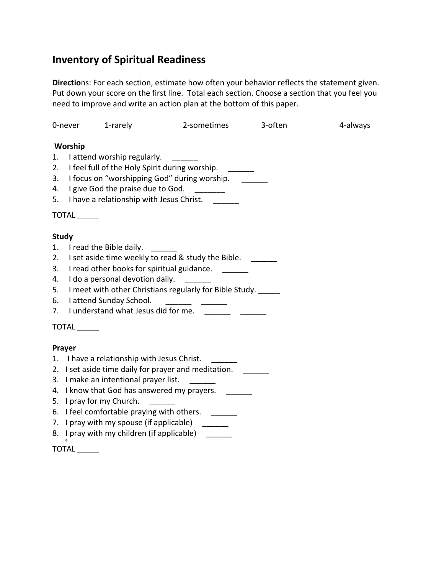# **Inventory of Spiritual Readiness**

**Directio**ns: For each section, estimate how often your behavior reflects the statement given. Put down your score on the first line. Total each section. Choose a section that you feel you need to improve and write an action plan at the bottom of this paper.

|              | 0-never                                                                                                                                                                                                                                                                                                                                                                                                                                                                                                                                                                                                                                | 1-rarely                                   | 2-sometimes | 3-often | 4-always |
|--------------|----------------------------------------------------------------------------------------------------------------------------------------------------------------------------------------------------------------------------------------------------------------------------------------------------------------------------------------------------------------------------------------------------------------------------------------------------------------------------------------------------------------------------------------------------------------------------------------------------------------------------------------|--------------------------------------------|-------------|---------|----------|
|              | Worship                                                                                                                                                                                                                                                                                                                                                                                                                                                                                                                                                                                                                                |                                            |             |         |          |
| 1.           | I attend worship regularly.                                                                                                                                                                                                                                                                                                                                                                                                                                                                                                                                                                                                            |                                            |             |         |          |
| 2.           | I feel full of the Holy Spirit during worship.                                                                                                                                                                                                                                                                                                                                                                                                                                                                                                                                                                                         |                                            |             |         |          |
| 3.           | I focus on "worshipping God" during worship.                                                                                                                                                                                                                                                                                                                                                                                                                                                                                                                                                                                           |                                            |             |         |          |
|              | 4. I give God the praise due to God.<br>$\begin{tabular}{ccccc} \multicolumn{2}{c }{\textbf{\textcolor{blue}{\bf \textcolor{blue}{\bf \textcolor{blue}{\bf \textcolor{blue}{\bf \textcolor{blue}{\bf \textcolor{blue}{\bf \textcolor{blue}{\bf \textcolor{blue}{\bf \textcolor{blue}{\bf \textcolor{blue}{\bf \textcolor{blue}{\bf \textcolor{blue}{\bf \textcolor{blue}{\bf \textcolor{blue}{\bf \textcolor{blue}{\bf \textcolor{blue}{\bf \textcolor{blue}{\bf \textcolor{blue}{\bf \textcolor{blue}{\bf \textcolor{blue}{\bf \textcolor{blue}{\bf \textcolor{blue}{\bf \textcolor{blue}{\bf \textcolor{blue}{\bf \textcolor{blue}{$ |                                            |             |         |          |
|              | 5. I have a relationship with Jesus Christ.                                                                                                                                                                                                                                                                                                                                                                                                                                                                                                                                                                                            |                                            |             |         |          |
|              | <b>TOTAL</b>                                                                                                                                                                                                                                                                                                                                                                                                                                                                                                                                                                                                                           |                                            |             |         |          |
| <b>Study</b> |                                                                                                                                                                                                                                                                                                                                                                                                                                                                                                                                                                                                                                        |                                            |             |         |          |
| 1.           | I read the Bible daily.                                                                                                                                                                                                                                                                                                                                                                                                                                                                                                                                                                                                                |                                            |             |         |          |
| 2.           | I set aside time weekly to read & study the Bible.                                                                                                                                                                                                                                                                                                                                                                                                                                                                                                                                                                                     |                                            |             |         |          |
| 3.           | I read other books for spiritual guidance.                                                                                                                                                                                                                                                                                                                                                                                                                                                                                                                                                                                             |                                            |             |         |          |
| 4.           | I do a personal devotion daily.<br>$\mathcal{L}=\{1,2,3,4\}$ .                                                                                                                                                                                                                                                                                                                                                                                                                                                                                                                                                                         |                                            |             |         |          |
| 5.           | I meet with other Christians regularly for Bible Study.                                                                                                                                                                                                                                                                                                                                                                                                                                                                                                                                                                                |                                            |             |         |          |
| 6.           | I attend Sunday School.<br>$\begin{tabular}{ll} \multicolumn{3}{c} {\textbf{1}} & \multicolumn{3}{c} {\textbf{2}} & \multicolumn{3}{c} {\textbf{3}} & \multicolumn{3}{c} {\textbf{4}} & \multicolumn{3}{c} {\textbf{5}} & \multicolumn{3}{c} {\textbf{6}} & \multicolumn{3}{c} {\textbf{6}} & \multicolumn{3}{c} {\textbf{7}} \\ \multicolumn{3}{c} {\textbf{1}} & \multicolumn{3}{c} {\textbf{2}} & \multicolumn{3}{c} {\textbf{3}} & \multicolumn{3}{c} {\textbf{4}} & \multicolumn{3}{c} {\textbf{5}} & \multicolumn$                                                                                                               |                                            |             |         |          |
| 7.           | I understand what Jesus did for me. ______                                                                                                                                                                                                                                                                                                                                                                                                                                                                                                                                                                                             |                                            |             |         |          |
|              | TOTAL                                                                                                                                                                                                                                                                                                                                                                                                                                                                                                                                                                                                                                  |                                            |             |         |          |
| Prayer       |                                                                                                                                                                                                                                                                                                                                                                                                                                                                                                                                                                                                                                        |                                            |             |         |          |
|              | 1. I have a relationship with Jesus Christ.                                                                                                                                                                                                                                                                                                                                                                                                                                                                                                                                                                                            |                                            |             |         |          |
|              | 2. I set aside time daily for prayer and meditation.                                                                                                                                                                                                                                                                                                                                                                                                                                                                                                                                                                                   |                                            |             |         |          |
|              | 3. I make an intentional prayer list.                                                                                                                                                                                                                                                                                                                                                                                                                                                                                                                                                                                                  |                                            |             |         |          |
|              | 4. I know that God has answered my prayers.                                                                                                                                                                                                                                                                                                                                                                                                                                                                                                                                                                                            |                                            |             |         |          |
|              | 5. I pray for my Church.                                                                                                                                                                                                                                                                                                                                                                                                                                                                                                                                                                                                               |                                            |             |         |          |
|              | 6. I feel comfortable praying with others.                                                                                                                                                                                                                                                                                                                                                                                                                                                                                                                                                                                             |                                            |             |         |          |
|              | 7. I pray with my spouse (if applicable) ______                                                                                                                                                                                                                                                                                                                                                                                                                                                                                                                                                                                        |                                            |             |         |          |
|              |                                                                                                                                                                                                                                                                                                                                                                                                                                                                                                                                                                                                                                        | 8. I pray with my children (if applicable) |             |         |          |
|              | 9.<br>TOTAL                                                                                                                                                                                                                                                                                                                                                                                                                                                                                                                                                                                                                            |                                            |             |         |          |